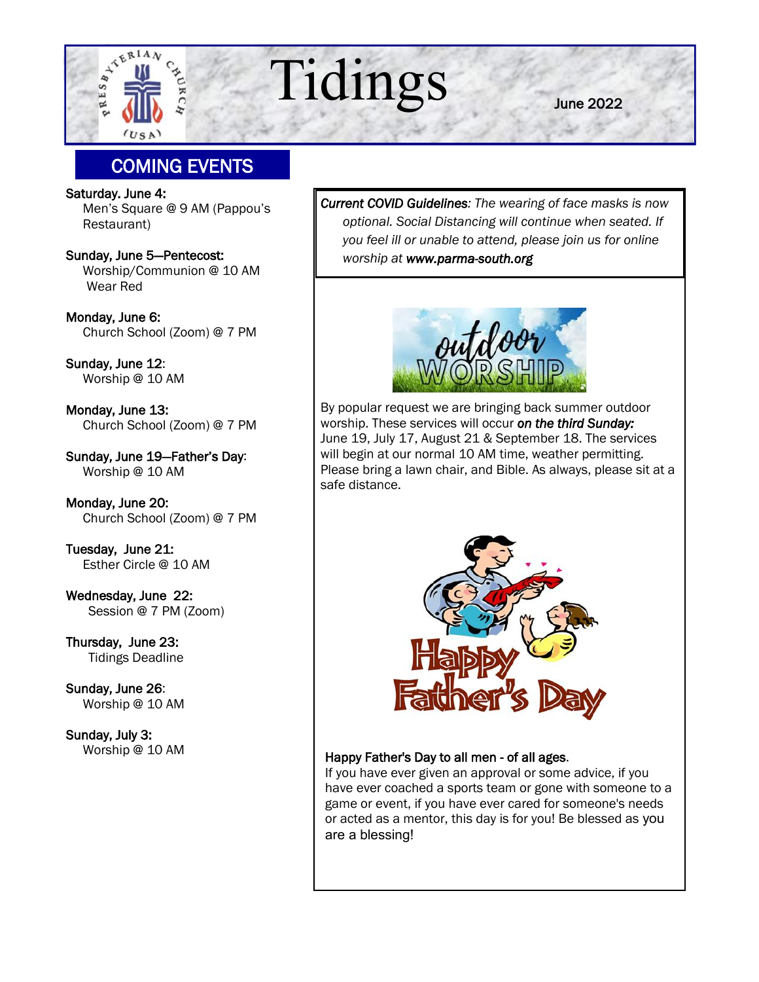

# $\mathbb{E}^{\frac{1}{2}^{\text{reflav}}}_{\frac{1}{2}^{\frac{1}{2}}}$  Tidings

June 2022

# COMING EVENTS

Saturday. June 4: Men's Square @ 9 AM (Pappou's Restaurant)

Sunday, June 5—Pentecost: Worship/Communion @ 10 AM Wear Red

Monday, June 6: Church School (Zoom) @ 7 PM

Sunday, June 12: Worship @ 10 AM

Monday, June 13: Church School (Zoom) @ 7 PM

Sunday, June 19—Father's Day: Worship @ 10 AM

Monday, June 20: Church School (Zoom) @ 7 PM

Tuesday, June 21: Esther Circle @ 10 AM

Wednesday, June 22: Session @ 7 PM (Zoom)

Thursday, June 23: Tidings Deadline

Sunday, June 26: Worship @ 10 AM

Sunday, July 3: Worship @ 10 AM *Current COVID Guidelines: The wearing of face masks is now optional. Social Distancing will continue when seated. If you feel ill or unable to attend, please join us for online worship at www.parma-south.org* 



By popular request we are bringing back summer outdoor worship. These services will occur *on the third Sunday:*  June 19, July 17, August 21 & September 18. The services will begin at our normal 10 AM time, weather permitting. Please bring a lawn chair, and Bible. As always, please sit at a safe distance.



#### Happy Father's Day to all men - of all ages.

If you have ever given an approval or some advice, if you have ever coached a sports team or gone with someone to a game or event, if you have ever cared for someone's needs or acted as a mentor, this day is for you! Be blessed as you are a blessing!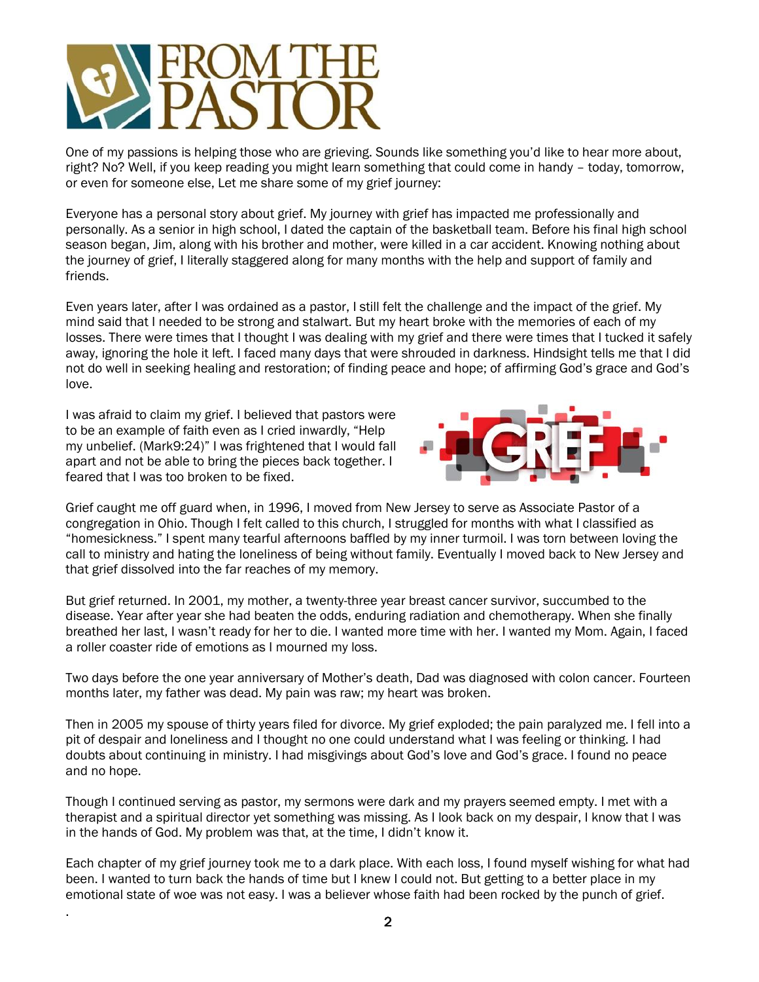

One of my passions is helping those who are grieving. Sounds like something you'd like to hear more about, right? No? Well, if you keep reading you might learn something that could come in handy – today, tomorrow, or even for someone else, Let me share some of my grief journey:

Everyone has a personal story about grief. My journey with grief has impacted me professionally and personally. As a senior in high school, I dated the captain of the basketball team. Before his final high school season began, Jim, along with his brother and mother, were killed in a car accident. Knowing nothing about the journey of grief, I literally staggered along for many months with the help and support of family and friends.

Even years later, after I was ordained as a pastor, I still felt the challenge and the impact of the grief. My mind said that I needed to be strong and stalwart. But my heart broke with the memories of each of my losses. There were times that I thought I was dealing with my grief and there were times that I tucked it safely away, ignoring the hole it left. I faced many days that were shrouded in darkness. Hindsight tells me that I did not do well in seeking healing and restoration; of finding peace and hope; of affirming God's grace and God's love.

I was afraid to claim my grief. I believed that pastors were to be an example of faith even as I cried inwardly, "Help my unbelief. (Mark9:24)" I was frightened that I would fall apart and not be able to bring the pieces back together. I feared that I was too broken to be fixed.

.



Grief caught me off guard when, in 1996, I moved from New Jersey to serve as Associate Pastor of a congregation in Ohio. Though I felt called to this church, I struggled for months with what I classified as "homesickness." I spent many tearful afternoons baffled by my inner turmoil. I was torn between loving the call to ministry and hating the loneliness of being without family. Eventually I moved back to New Jersey and that grief dissolved into the far reaches of my memory.

But grief returned. In 2001, my mother, a twenty-three year breast cancer survivor, succumbed to the disease. Year after year she had beaten the odds, enduring radiation and chemotherapy. When she finally breathed her last, I wasn't ready for her to die. I wanted more time with her. I wanted my Mom. Again, I faced a roller coaster ride of emotions as I mourned my loss.

Two days before the one year anniversary of Mother's death, Dad was diagnosed with colon cancer. Fourteen months later, my father was dead. My pain was raw; my heart was broken.

Then in 2005 my spouse of thirty years filed for divorce. My grief exploded; the pain paralyzed me. I fell into a pit of despair and loneliness and I thought no one could understand what I was feeling or thinking. I had doubts about continuing in ministry. I had misgivings about God's love and God's grace. I found no peace and no hope.

Though I continued serving as pastor, my sermons were dark and my prayers seemed empty. I met with a therapist and a spiritual director yet something was missing. As I look back on my despair, I know that I was in the hands of God. My problem was that, at the time, I didn't know it.

Each chapter of my grief journey took me to a dark place. With each loss, I found myself wishing for what had been. I wanted to turn back the hands of time but I knew I could not. But getting to a better place in my emotional state of woe was not easy. I was a believer whose faith had been rocked by the punch of grief.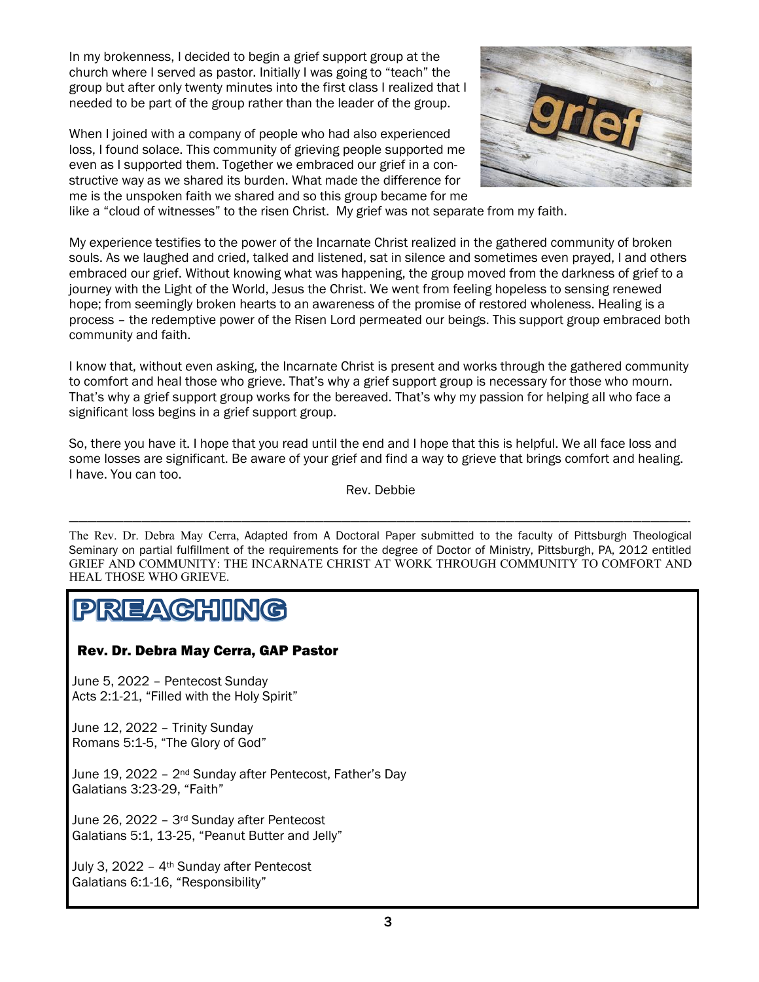In my brokenness, I decided to begin a grief support group at the church where I served as pastor. Initially I was going to "teach" the group but after only twenty minutes into the first class I realized that I needed to be part of the group rather than the leader of the group.

When I joined with a company of people who had also experienced loss, I found solace. This community of grieving people supported me even as I supported them. Together we embraced our grief in a constructive way as we shared its burden. What made the difference for me is the unspoken faith we shared and so this group became for me



like a "cloud of witnesses" to the risen Christ. My grief was not separate from my faith.

My experience testifies to the power of the Incarnate Christ realized in the gathered community of broken souls. As we laughed and cried, talked and listened, sat in silence and sometimes even prayed, I and others embraced our grief. Without knowing what was happening, the group moved from the darkness of grief to a journey with the Light of the World, Jesus the Christ. We went from feeling hopeless to sensing renewed hope; from seemingly broken hearts to an awareness of the promise of restored wholeness. Healing is a process – the redemptive power of the Risen Lord permeated our beings. This support group embraced both community and faith.

I know that, without even asking, the Incarnate Christ is present and works through the gathered community to comfort and heal those who grieve. That's why a grief support group is necessary for those who mourn. That's why a grief support group works for the bereaved. That's why my passion for helping all who face a significant loss begins in a grief support group.

So, there you have it. I hope that you read until the end and I hope that this is helpful. We all face loss and some losses are significant. Be aware of your grief and find a way to grieve that brings comfort and healing. I have. You can too.

Rev. Debbie

————————————————————————————————————————————————————————————————————-

The Rev. Dr. Debra May Cerra, Adapted from A Doctoral Paper submitted to the faculty of Pittsburgh Theological Seminary on partial fulfillment of the requirements for the degree of Doctor of Ministry, Pittsburgh, PA, 2012 entitled GRIEF AND COMMUNITY: THE INCARNATE CHRIST AT WORK THROUGH COMMUNITY TO COMFORT AND HEAL THOSE WHO GRIEVE.

# PREACHING

#### Rev. Dr. Debra May Cerra, GAP Pastor

June 5, 2022 – Pentecost Sunday Acts 2:1-21, "Filled with the Holy Spirit"

June 12, 2022 – Trinity Sunday Romans 5:1-5, "The Glory of God"

June 19, 2022 – 2nd Sunday after Pentecost, Father's Day Galatians 3:23-29, "Faith"

June 26, 2022 – 3rd Sunday after Pentecost Galatians 5:1, 13-25, "Peanut Butter and Jelly"

July 3, 2022 – 4th Sunday after Pentecost Galatians 6:1-16, "Responsibility"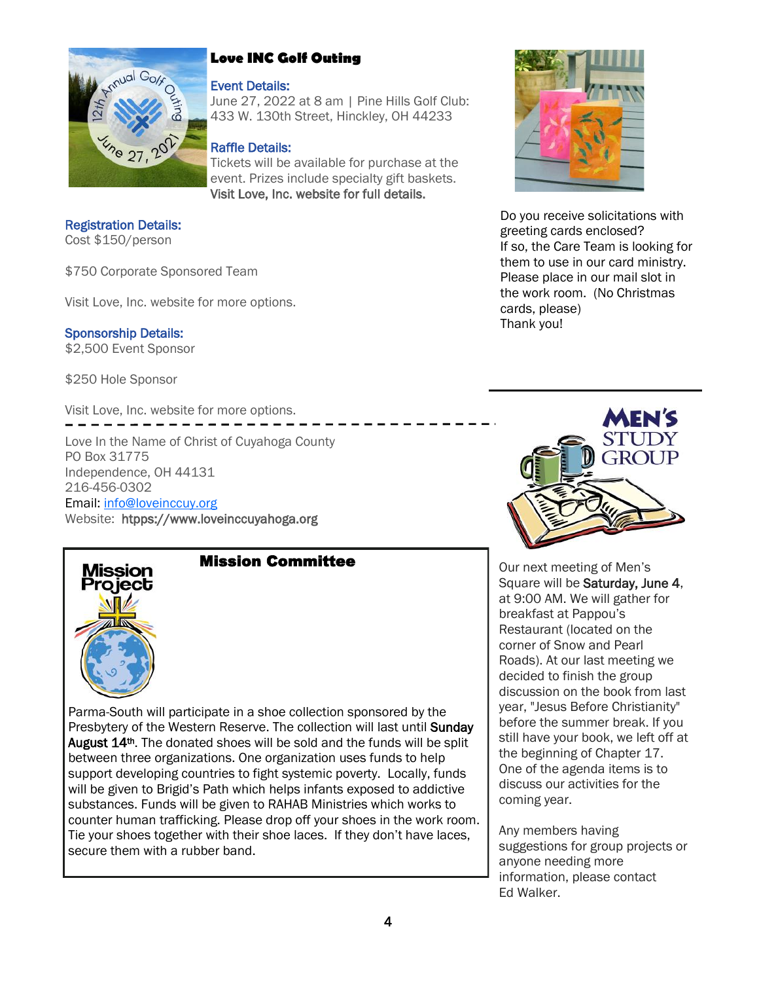

## **Love INC Golf Outing**

#### Event Details:

June 27, 2022 at 8 am | Pine Hills Golf Club: 433 W. 130th Street, Hinckley, OH 44233

#### Raffle Details:

Tickets will be available for purchase at the event. Prizes include specialty gift baskets. Visit Love, Inc. website for full details.

Registration Details: Cost \$150/person

\$750 Corporate Sponsored Team

Visit Love, Inc. website for more options.

Sponsorship Details: \$2,500 Event Sponsor

\$250 Hole Sponsor

Visit Love, Inc. website for more options.

Love In the Name of Christ of Cuyahoga County PO Box 31775 Independence, OH 44131 216-456-0302 Email: [info@loveinccuy.org](mailto:info@loveinccuy.org) Website: htpps://www.loveinccuyahoga.org



## Mission Committee

Parma-South will participate in a shoe collection sponsored by the Presbytery of the Western Reserve. The collection will last until Sunday August 14<sup>th</sup>. The donated shoes will be sold and the funds will be split between three organizations. One organization uses funds to help support developing countries to fight systemic poverty. Locally, funds will be given to Brigid's Path which helps infants exposed to addictive substances. Funds will be given to RAHAB Ministries which works to counter human trafficking. Please drop off your shoes in the work room. Tie your shoes together with their shoe laces. If they don't have laces, secure them with a rubber band.



Do you receive solicitations with greeting cards enclosed? If so, the Care Team is looking for them to use in our card ministry. Please place in our mail slot in the work room. (No Christmas cards, please) Thank you!



Our next meeting of Men's Square will be Saturday, June 4, at 9:00 AM. We will gather for breakfast at Pappou's Restaurant (located on the corner of Snow and Pearl Roads). At our last meeting we decided to finish the group discussion on the book from last year, "Jesus Before Christianity" before the summer break. If you still have your book, we left off at the beginning of Chapter 17. One of the agenda items is to discuss our activities for the coming year.

Any members having suggestions for group projects or anyone needing more information, please contact Ed Walker.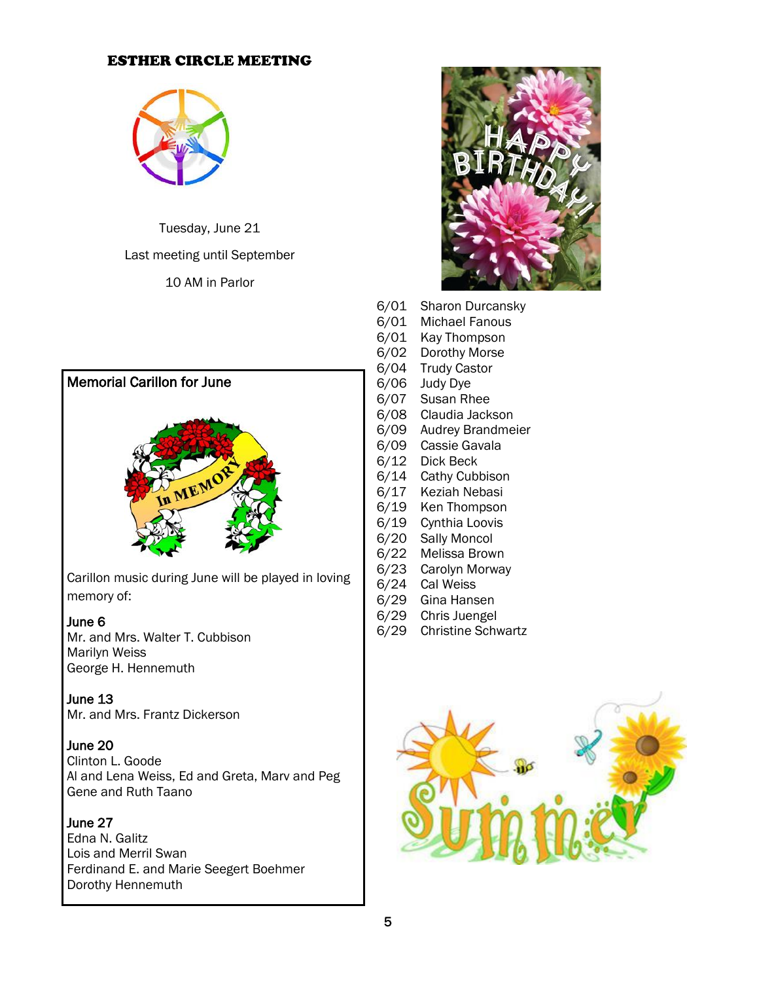#### ESTHER CIRCLE MEETING



Tuesday, June 21

Last meeting until September

10 AM in Parlor

# Memorial Carillon for June



Carillon music during June will be played in loving memory of:

#### June 6

Mr. and Mrs. Walter T. Cubbison Marilyn Weiss George H. Hennemuth

#### June 13

Mr. and Mrs. Frantz Dickerson

#### June 20

Clinton L. Goode Al and Lena Weiss, Ed and Greta, Marv and Peg Gene and Ruth Taano

#### June 27

Edna N. Galitz Lois and Merril Swan Ferdinand E. and Marie Seegert Boehmer Dorothy Hennemuth



- 6/01 Sharon Durcansky
- 6/01 Michael Fanous
- 6/01 Kay Thompson
- 6/02 Dorothy Morse
- 6/04 Trudy Castor
- 6/06 Judy Dye
- 6/07 Susan Rhee
- 6/08 Claudia Jackson
- 6/09 Audrey Brandmeier
- 6/09 Cassie Gavala
- 6/12 Dick Beck
- 6/14 Cathy Cubbison
- 6/17 Keziah Nebasi
- 6/19 Ken Thompson 6/19 Cynthia Loovis
- 6/20 Sally Moncol
- 6/22 Melissa Brown
- 6/23 Carolyn Morway
- 6/24 Cal Weiss
- 6/29 Gina Hansen
- 6/29 Chris Juengel
- 6/29 Christine Schwartz